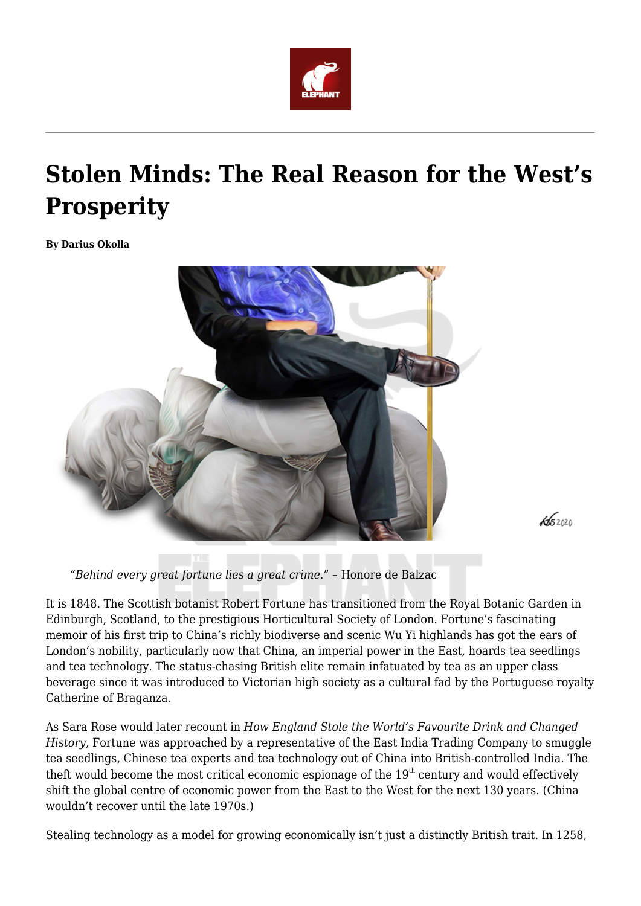

# **Stolen Minds: The Real Reason for the West's Prosperity**

**By Darius Okolla**



*"Behind every great fortune lies a great crime*." – Honore de Balzac

It is 1848. The Scottish botanist Robert Fortune has transitioned from the Royal Botanic Garden in Edinburgh, Scotland, to the prestigious Horticultural Society of London. Fortune's fascinating memoir of his first trip to China's richly biodiverse and scenic Wu Yi highlands has got the ears of London's nobility, particularly now that China, an imperial power in the East, hoards tea seedlings and tea technology. The status-chasing British elite remain infatuated by tea as an upper class beverage since it was introduced to Victorian high society as a cultural fad by the Portuguese royalty Catherine of Braganza.

 $452020$ 

As Sara Rose would later recount in *How England Stole the World's Favourite Drink and Changed History,* Fortune was approached by a representative of the East India Trading Company to smuggle tea seedlings, Chinese tea experts and tea technology out of China into British-controlled India. The theft would become the most critical economic espionage of the  $19<sup>th</sup>$  century and would effectively shift the global centre of economic power from the East to the West for the next 130 years. (China wouldn't recover until the late 1970s.)

Stealing technology as a model for growing economically isn't just a distinctly British trait. In 1258,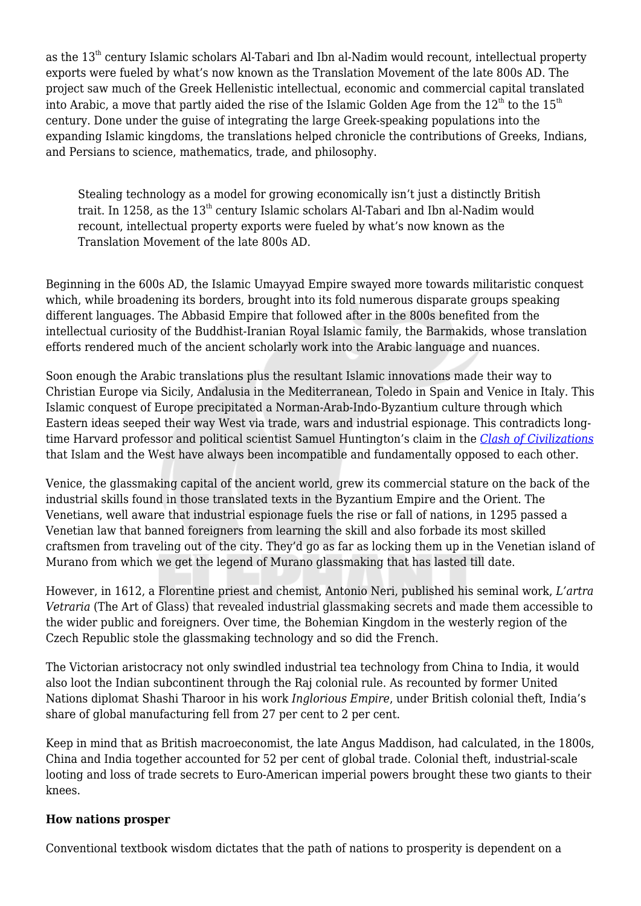as the 13<sup>th</sup> century Islamic scholars Al-Tabari and Ibn al-Nadim would recount, intellectual property exports were fueled by what's now known as the Translation Movement of the late 800s AD. The project saw much of the Greek Hellenistic intellectual, economic and commercial capital translated into Arabic, a move that partly aided the rise of the Islamic Golden Age from the  $12<sup>th</sup>$  to the  $15<sup>th</sup>$ century. Done under the guise of integrating the large Greek-speaking populations into the expanding Islamic kingdoms, the translations helped chronicle the contributions of Greeks, Indians, and Persians to science, mathematics, trade, and philosophy.

Stealing technology as a model for growing economically isn't just a distinctly British trait. In 1258, as the  $13<sup>th</sup>$  century Islamic scholars Al-Tabari and Ibn al-Nadim would recount, intellectual property exports were fueled by what's now known as the Translation Movement of the late 800s AD.

Beginning in the 600s AD, the Islamic Umayyad Empire swayed more towards militaristic conquest which, while broadening its borders, brought into its fold numerous disparate groups speaking different languages. The Abbasid Empire that followed after in the 800s benefited from the intellectual curiosity of the Buddhist-Iranian Royal Islamic family, the Barmakids, whose translation efforts rendered much of the ancient scholarly work into the Arabic language and nuances.

Soon enough the Arabic translations plus the resultant Islamic innovations made their way to Christian Europe via Sicily, Andalusia in the Mediterranean, Toledo in Spain and Venice in Italy. This Islamic conquest of Europe precipitated a Norman-Arab-Indo-Byzantium culture through which Eastern ideas seeped their way West via trade, wars and industrial espionage. This contradicts longtime Harvard professor and political scientist Samuel Huntington's claim in the *[Clash of Civilizations](https://www.goodreads.com/book/show/413179.The_Clash_of_Civilizations_and_the_Remaking_of_World_Order?from_search=true)* that Islam and the West have always been incompatible and fundamentally opposed to each other.

Venice, the glassmaking capital of the ancient world, grew its commercial stature on the back of the industrial skills found in those translated texts in the Byzantium Empire and the Orient. The Venetians, well aware that industrial espionage fuels the rise or fall of nations, in 1295 passed a Venetian law that banned foreigners from learning the skill and also forbade its most skilled craftsmen from traveling out of the city. They'd go as far as locking them up in the Venetian island of Murano from which we get the legend of Murano glassmaking that has lasted till date.

However, in 1612, a Florentine priest and chemist, Antonio Neri, published his seminal work, *L'artra Vetraria* (The Art of Glass) that revealed industrial glassmaking secrets and made them accessible to the wider public and foreigners. Over time, the Bohemian Kingdom in the westerly region of the Czech Republic stole the glassmaking technology and so did the French.

The Victorian aristocracy not only swindled industrial tea technology from China to India, it would also loot the Indian subcontinent through the Raj colonial rule. As recounted by former United Nations diplomat Shashi Tharoor in his work *Inglorious Empire*, under British colonial theft, India's share of global manufacturing fell from 27 per cent to 2 per cent.

Keep in mind that as British macroeconomist, the late Angus Maddison, had calculated, in the 1800s, China and India together accounted for 52 per cent of global trade. Colonial theft, industrial-scale looting and loss of trade secrets to Euro-American imperial powers brought these two giants to their knees.

#### **How nations prosper**

Conventional textbook wisdom dictates that the path of nations to prosperity is dependent on a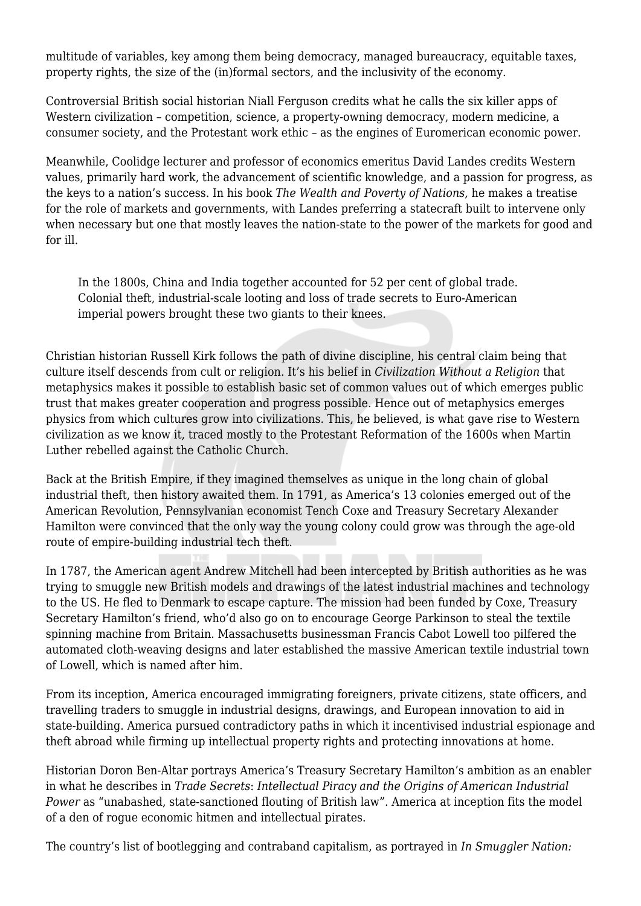multitude of variables, key among them being democracy, managed bureaucracy, equitable taxes, property rights, the size of the (in)formal sectors, and the inclusivity of the economy.

Controversial British social historian Niall Ferguson credits what he calls the six killer apps of Western civilization – competition, science, a property-owning democracy, modern medicine, a consumer society, and the Protestant work ethic – as the engines of Euromerican economic power.

Meanwhile, Coolidge lecturer and professor of economics emeritus David Landes credits Western values, primarily hard work, the advancement of scientific knowledge, and a passion for progress, as the keys to a nation's success. In his book *The Wealth and Poverty of Nations,* he makes a treatise for the role of markets and governments, with Landes preferring a statecraft built to intervene only when necessary but one that mostly leaves the nation-state to the power of the markets for good and for ill.

In the 1800s, China and India together accounted for 52 per cent of global trade. Colonial theft, industrial-scale looting and loss of trade secrets to Euro-American imperial powers brought these two giants to their knees.

Christian historian Russell Kirk follows the path of divine discipline, his central claim being that culture itself descends from cult or religion. It's his belief in *Civilization Without a Religion* that metaphysics makes it possible to establish basic set of common values out of which emerges public trust that makes greater cooperation and progress possible. Hence out of metaphysics emerges physics from which cultures grow into civilizations. This, he believed, is what gave rise to Western civilization as we know it, traced mostly to the Protestant Reformation of the 1600s when Martin Luther rebelled against the Catholic Church.

Back at the British Empire, if they imagined themselves as unique in the long chain of global industrial theft, then history awaited them. In 1791, as America's 13 colonies emerged out of the American Revolution, Pennsylvanian economist Tench Coxe and Treasury Secretary Alexander Hamilton were convinced that the only way the young colony could grow was through the age-old route of empire-building industrial tech theft.

In 1787, the American agent Andrew Mitchell had been intercepted by British authorities as he was trying to smuggle new British models and drawings of the latest industrial machines and technology to the US. He fled to Denmark to escape capture. The mission had been funded by Coxe, Treasury Secretary Hamilton's friend, who'd also go on to encourage George Parkinson to steal the textile spinning machine from Britain. Massachusetts businessman Francis Cabot Lowell too pilfered the automated cloth-weaving designs and later established the massive American textile industrial town of Lowell, which is named after him.

From its inception, America encouraged immigrating foreigners, private citizens, state officers, and travelling traders to smuggle in industrial designs, drawings, and European innovation to aid in state-building. America pursued contradictory paths in which it incentivised industrial espionage and theft abroad while firming up intellectual property rights and protecting innovations at home.

Historian Doron Ben-Altar portrays America's Treasury Secretary Hamilton's ambition as an enabler in what he describes in *Trade Secrets*: *Intellectual Piracy and the Origins of American Industrial Power* as "unabashed, state-sanctioned flouting of British law". America at inception fits the model of a den of rogue economic hitmen and intellectual pirates.

The country's list of bootlegging and contraband capitalism, as portrayed in *In Smuggler Nation:*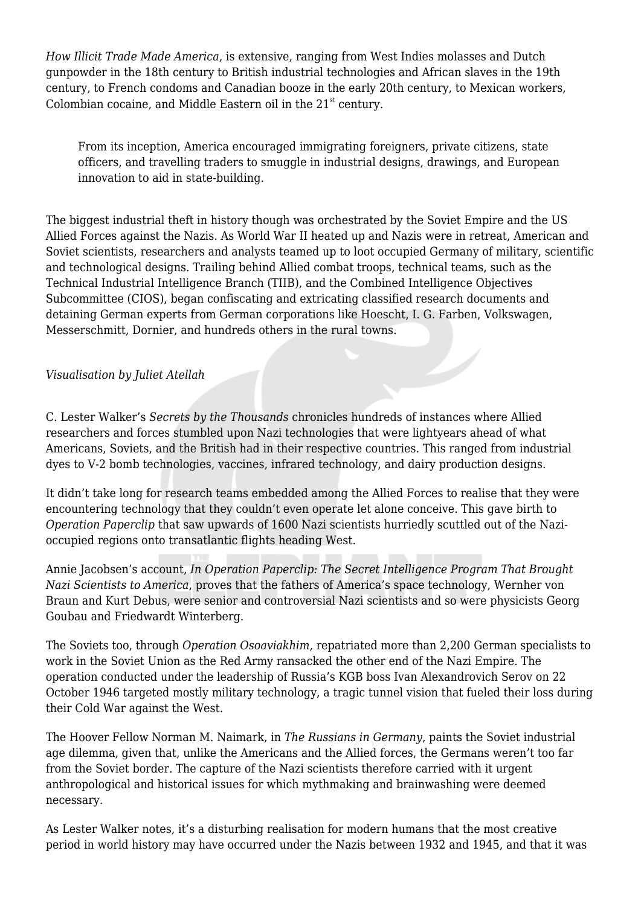*How Illicit Trade Made America*, is extensive, ranging from West Indies molasses and Dutch gunpowder in the 18th century to British industrial technologies and African slaves in the 19th century, to French condoms and Canadian booze in the early 20th century, to Mexican workers, Colombian cocaine, and Middle Eastern oil in the 21<sup>st</sup> century.

From its inception, America encouraged immigrating foreigners, private citizens, state officers, and travelling traders to smuggle in industrial designs, drawings, and European innovation to aid in state-building.

The biggest industrial theft in history though was orchestrated by the Soviet Empire and the US Allied Forces against the Nazis. As World War II heated up and Nazis were in retreat, American and Soviet scientists, researchers and analysts teamed up to loot occupied Germany of military, scientific and technological designs. Trailing behind Allied combat troops, technical teams, such as the Technical Industrial Intelligence Branch (TIIB), and the Combined Intelligence Objectives Subcommittee (CIOS), began confiscating and extricating classified research documents and detaining German experts from German corporations like Hoescht, I. G. Farben, Volkswagen, Messerschmitt, Dornier, and hundreds others in the rural towns.

*Visualisation by Juliet Atellah*

C. Lester Walker's *Secrets by the Thousands* chronicles hundreds of instances where Allied researchers and forces stumbled upon Nazi technologies that were lightyears ahead of what Americans, Soviets, and the British had in their respective countries. This ranged from industrial dyes to V-2 bomb technologies, vaccines, infrared technology, and dairy production designs.

It didn't take long for research teams embedded among the Allied Forces to realise that they were encountering technology that they couldn't even operate let alone conceive. This gave birth to *Operation Paperclip* that saw upwards of 1600 Nazi scientists hurriedly scuttled out of the Nazioccupied regions onto transatlantic flights heading West.

Annie Jacobsen's account, *In Operation Paperclip: The Secret Intelligence Program That Brought Nazi Scientists to America*, proves that the fathers of America's space technology, Wernher von Braun and Kurt Debus, were senior and controversial Nazi scientists and so were physicists Georg Goubau and Friedwardt Winterberg.

The Soviets too, through *Operation Osoaviakhim,* repatriated more than 2,200 German specialists to work in the Soviet Union as the Red Army ransacked the other end of the Nazi Empire. The operation conducted under the leadership of Russia's KGB boss Ivan Alexandrovich Serov on 22 October 1946 targeted mostly military technology, a tragic tunnel vision that fueled their loss during their Cold War against the West.

The Hoover Fellow Norman M. Naimark, in *The Russians in Germany*, paints the Soviet industrial age dilemma, given that, unlike the Americans and the Allied forces, the Germans weren't too far from the Soviet border. The capture of the Nazi scientists therefore carried with it urgent anthropological and historical issues for which mythmaking and brainwashing were deemed necessary.

As Lester Walker notes, it's a disturbing realisation for modern humans that the most creative period in world history may have occurred under the Nazis between 1932 and 1945, and that it was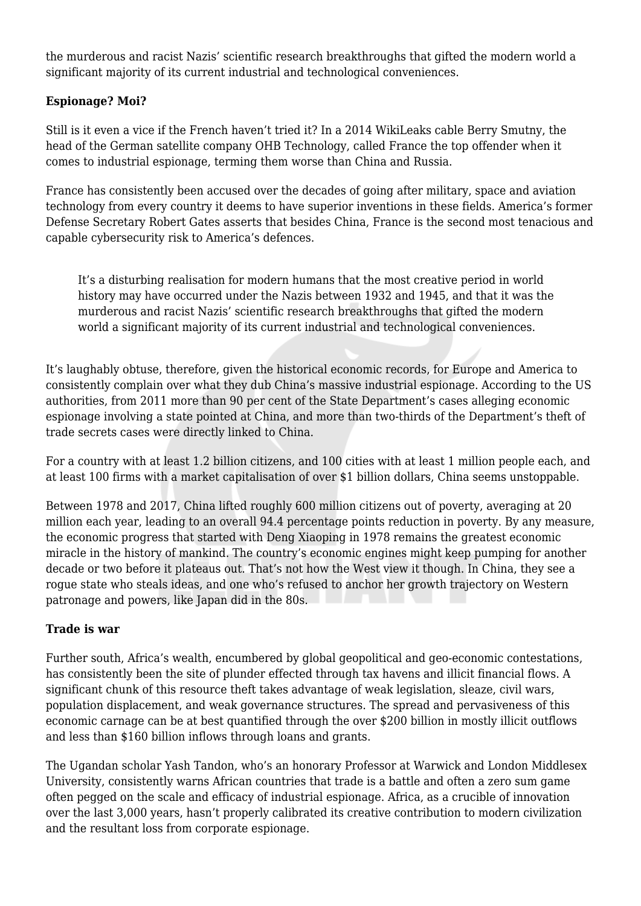the murderous and racist Nazis' scientific research breakthroughs that gifted the modern world a significant majority of its current industrial and technological conveniences.

# **Espionage? Moi?**

Still is it even a vice if the French haven't tried it? In a 2014 WikiLeaks cable Berry Smutny, the head of the German satellite company OHB Technology, called France the top offender when it comes to industrial espionage, terming them worse than China and Russia.

France has consistently been accused over the decades of going after military, space and aviation technology from every country it deems to have superior inventions in these fields. America's former Defense Secretary Robert Gates asserts that besides China, France is the second most tenacious and capable cybersecurity risk to America's defences.

It's a disturbing realisation for modern humans that the most creative period in world history may have occurred under the Nazis between 1932 and 1945, and that it was the murderous and racist Nazis' scientific research breakthroughs that gifted the modern world a significant majority of its current industrial and technological conveniences.

It's laughably obtuse, therefore, given the historical economic records, for Europe and America to consistently complain over what they dub China's massive industrial espionage. According to the US authorities, from 2011 more than 90 per cent of the State Department's cases alleging economic espionage involving a state pointed at China, and more than two-thirds of the Department's theft of trade secrets cases were directly linked to China.

For a country with at least 1.2 billion citizens, and 100 cities with at least 1 million people each, and at least 100 firms with a market capitalisation of over \$1 billion dollars, China seems unstoppable.

Between 1978 and 2017, China lifted roughly 600 million citizens out of poverty, averaging at 20 million each year, leading to an overall 94.4 percentage points reduction in poverty. By any measure, the economic progress that started with Deng Xiaoping in 1978 remains the greatest economic miracle in the history of mankind. The country's economic engines might keep pumping for another decade or two before it plateaus out. That's not how the West view it though. In China, they see a rogue state who steals ideas, and one who's refused to anchor her growth trajectory on Western patronage and powers, like Japan did in the 80s.

## **Trade is war**

Further south, Africa's wealth, encumbered by global geopolitical and geo-economic contestations, has consistently been the site of plunder effected through tax havens and illicit financial flows. A significant chunk of this resource theft takes advantage of weak legislation, sleaze, civil wars, population displacement, and weak governance structures. The spread and pervasiveness of this economic carnage can be at best quantified through the over \$200 billion in mostly illicit outflows and less than \$160 billion inflows through loans and grants.

The Ugandan scholar Yash Tandon, who's an honorary Professor at Warwick and London Middlesex University, consistently warns African countries that trade is a battle and often a zero sum game often pegged on the scale and efficacy of industrial espionage. Africa, as a crucible of innovation over the last 3,000 years, hasn't properly calibrated its creative contribution to modern civilization and the resultant loss from corporate espionage.